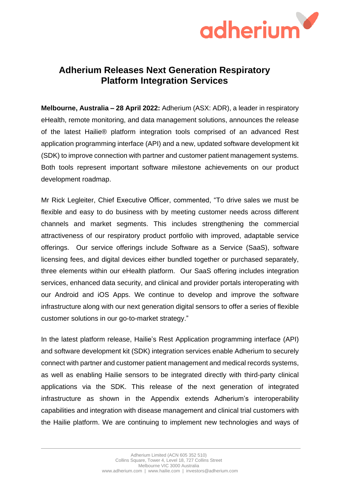

## **Adherium Releases Next Generation Respiratory Platform Integration Services**

**Melbourne, Australia – 28 April 2022:** Adherium (ASX: ADR), a leader in respiratory eHealth, remote monitoring, and data management solutions, announces the release of the latest Hailie® platform integration tools comprised of an advanced Rest application programming interface (API) and a new, updated software development kit (SDK) to improve connection with partner and customer patient management systems. Both tools represent important software milestone achievements on our product development roadmap.

Mr Rick Legleiter, Chief Executive Officer, commented, "To drive sales we must be flexible and easy to do business with by meeting customer needs across different channels and market segments. This includes strengthening the commercial attractiveness of our respiratory product portfolio with improved, adaptable service offerings. Our service offerings include Software as a Service (SaaS), software licensing fees, and digital devices either bundled together or purchased separately, three elements within our eHealth platform. Our SaaS offering includes integration services, enhanced data security, and clinical and provider portals interoperating with our Android and iOS Apps. We continue to develop and improve the software infrastructure along with our next generation digital sensors to offer a series of flexible customer solutions in our go-to-market strategy."

In the latest platform release, Hailie's Rest Application programming interface (API) and software development kit (SDK) integration services enable Adherium to securely connect with partner and customer patient management and medical records systems, as well as enabling Hailie sensors to be integrated directly with third-party clinical applications via the SDK. This release of the next generation of integrated infrastructure as shown in the Appendix extends Adherium's interoperability capabilities and integration with disease management and clinical trial customers with the Hailie platform. We are continuing to implement new technologies and ways of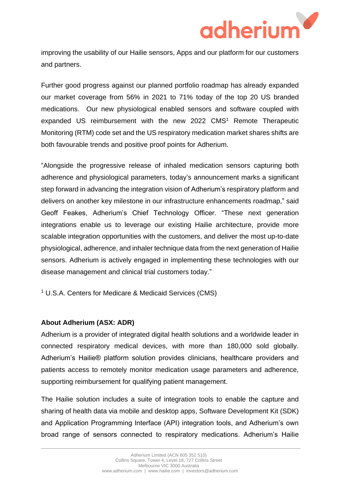

improving the usability of our Hailie sensors, Apps and our platform for our customers and partners.

Further good progress against our planned portfolio roadmap has already expanded our market coverage from 56% in 2021 to 71% today of the top 20 US branded medications. Our new physiological enabled sensors and software coupled with expanded US reimbursement with the new 2022 CMS<sup>1</sup> Remote Therapeutic Monitoring (RTM) code set and the US respiratory medication market shares shifts are both favourable trends and positive proof points for Adherium.

"Alongside the progressive release of inhaled medication sensors capturing both adherence and physiological parameters, today's announcement marks a significant step forward in advancing the integration vision of Adherium's respiratory platform and delivers on another key milestone in our infrastructure enhancements roadmap," said Geoff Feakes, Adherium's Chief Technology Officer. "These next generation integrations enable us to leverage our existing Hailie architecture, provide more scalable integration opportunities with the customers, and deliver the most up-to-date physiological, adherence, and inhaler technique data from the next generation of Hailie sensors. Adherium is actively engaged in implementing these technologies with our disease management and clinical trial customers today."

<sup>1</sup> U.S.A. Centers for Medicare & Medicaid Services (CMS)

## **About Adherium (ASX: ADR)**

Adherium is a provider of integrated digital health solutions and a worldwide leader in connected respiratory medical devices, with more than 180,000 sold globally. Adherium's Hailie® platform solution provides clinicians, healthcare providers and patients access to remotely monitor medication usage parameters and adherence, supporting reimbursement for qualifying patient management.

The Hailie solution includes a suite of integration tools to enable the capture and sharing of health data via mobile and desktop apps, Software Development Kit (SDK) and Application Programming Interface (API) integration tools, and Adherium's own broad range of sensors connected to respiratory medications. Adherium's Hailie